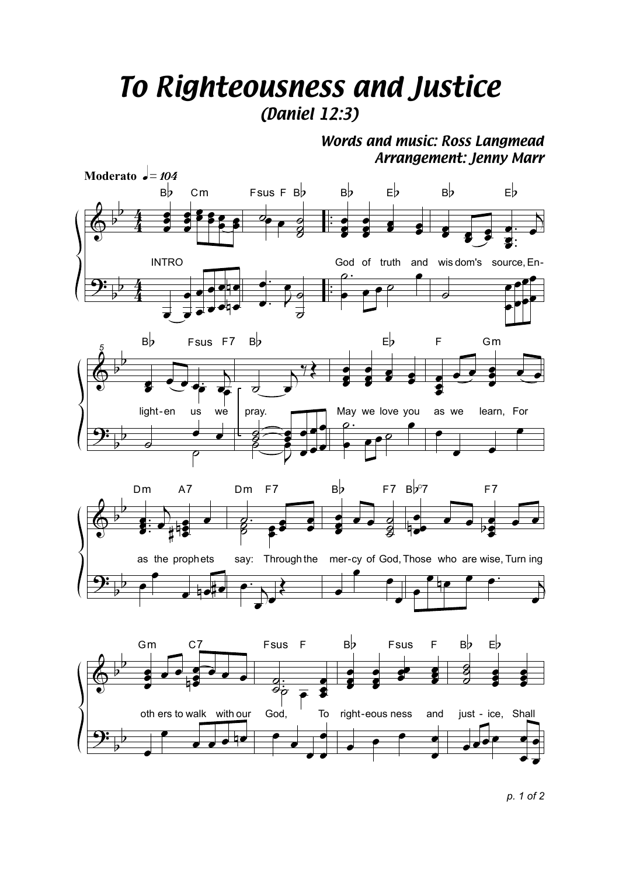## *To Righteousness and Justice (Daniel 12:3)*

*Words and music: Ross Langmead Arrangement: Jenny Marr*



*p. 1 of 2*